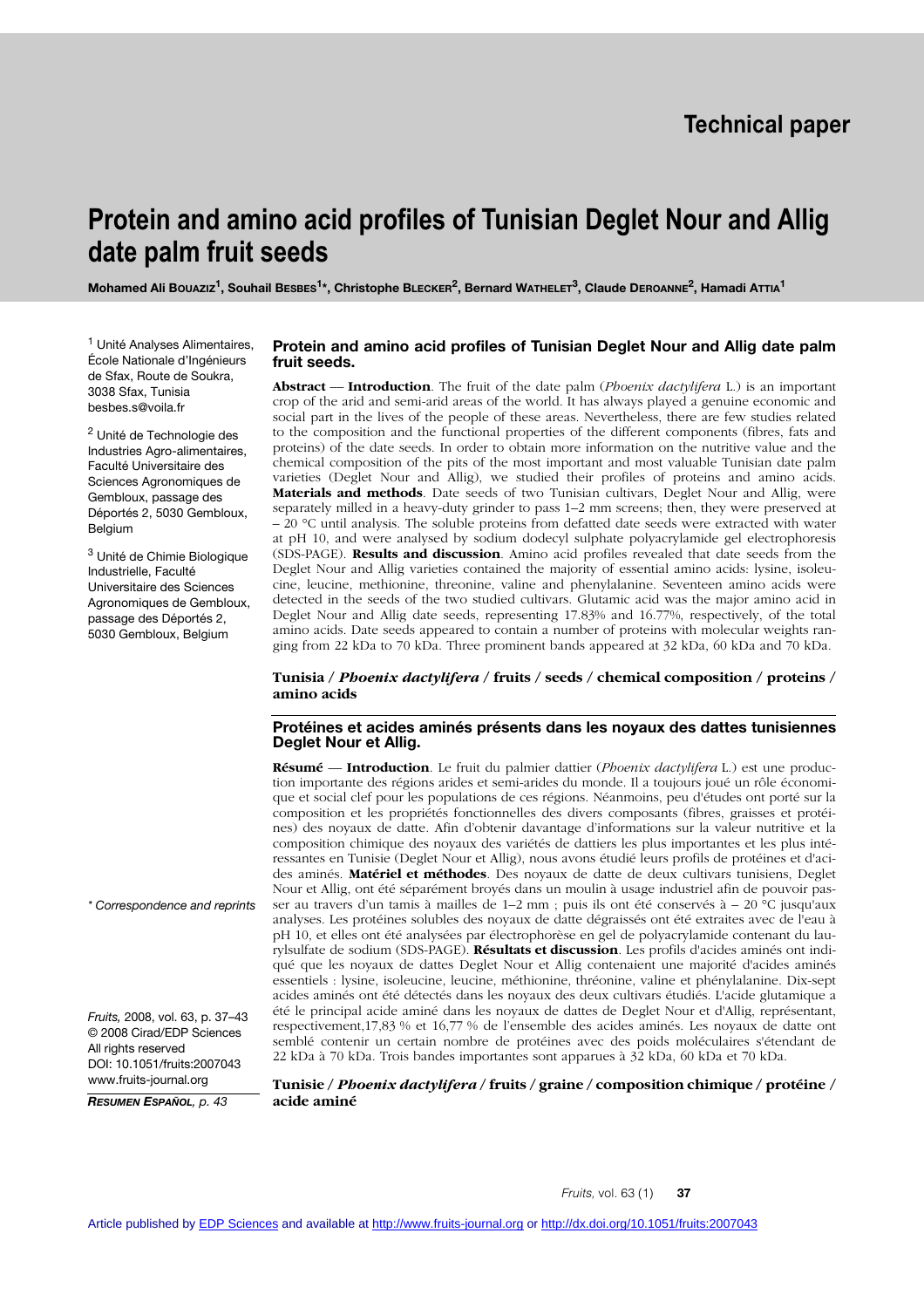# **Protein and amino acid profiles of Tunisian Deglet Nour and Allig date palm fruit seeds**

**Mohamed Ali Bouaziz<sup>1</sup>, Souhail BESBES<sup>1\*</sup>, Christophe BLECKER<sup>2</sup>, Bernard WATHELET<sup>3</sup>, Claude DEROANNE<sup>2</sup>, Hamadi ATTIA<sup>1</sup>** 

<sup>1</sup> Unité Analyses Alimentaires, École Nationale d'Ingénieurs de Sfax, Route de Soukra, 3038 Sfax, Tunisia besbes.s@voila.fr

2 Unité de Technologie des Industries Agro-alimentaires, Faculté Universitaire des Sciences Agronomiques de Gembloux, passage des Déportés 2, 5030 Gembloux, Belgium

3 Unité de Chimie Biologique Industrielle, Faculté Universitaire des Sciences Agronomiques de Gembloux, passage des Déportés 2, 5030 Gembloux, Belgium

## **Protein and amino acid profiles of Tunisian Deglet Nour and Allig date palm fruit seeds.**

**Abstract** –– **Introduction**. The fruit of the date palm (*Phoenix dactylifera* L.) is an important crop of the arid and semi-arid areas of the world. It has always played a genuine economic and social part in the lives of the people of these areas. Nevertheless, there are few studies related to the composition and the functional properties of the different components (fibres, fats and proteins) of the date seeds. In order to obtain more information on the nutritive value and the chemical composition of the pits of the most important and most valuable Tunisian date palm varieties (Deglet Nour and Allig), we studied their profiles of proteins and amino acids. **Materials and methods**. Date seeds of two Tunisian cultivars, Deglet Nour and Allig, were separately milled in a heavy-duty grinder to pass 1–2 mm screens; then, they were preserved at  $-20$  °C until analysis. The soluble proteins from defatted date seeds were extracted with water at pH 10, and were analysed by sodium dodecyl sulphate polyacrylamide gel electrophoresis (SDS-PAGE). **Results and discussion**. Amino acid profiles revealed that date seeds from the Deglet Nour and Allig varieties contained the majority of essential amino acids: lysine, isoleucine, leucine, methionine, threonine, valine and phenylalanine. Seventeen amino acids were detected in the seeds of the two studied cultivars. Glutamic acid was the major amino acid in Deglet Nour and Allig date seeds, representing 17.83% and 16.77%, respectively, of the total amino acids. Date seeds appeared to contain a number of proteins with molecular weights ranging from 22 kDa to 70 kDa. Three prominent bands appeared at 32 kDa, 60 kDa and 70 kDa.

#### **Tunisia /** *Phoenix dactylifera* **/ fruits / seeds / chemical composition / proteins / amino acids**

#### **Protéines et acides aminés présents dans les noyaux des dattes tunisiennes Deglet Nour et Allig.**

**Résumé** –– **Introduction**. Le fruit du palmier dattier (*Phoenix dactylifera* L.) est une production importante des régions arides et semi-arides du monde. Il a toujours joué un rôle économique et social clef pour les populations de ces régions. Néanmoins, peu d'études ont porté sur la composition et les propriétés fonctionnelles des divers composants (fibres, graisses et protéines) des noyaux de datte. Afin d'obtenir davantage d'informations sur la valeur nutritive et la composition chimique des noyaux des variétés de dattiers les plus importantes et les plus intéressantes en Tunisie (Deglet Nour et Allig), nous avons étudié leurs profils de protéines et d'acides aminés. **Matériel et méthodes**. Des noyaux de datte de deux cultivars tunisiens, Deglet Nour et Allig, ont été séparément broyés dans un moulin à usage industriel afin de pouvoir passer au travers d'un tamis à mailles de 1–2 mm ; puis ils ont été conservés à – 20 °C jusqu'aux analyses. Les protéines solubles des noyaux de datte dégraissés ont été extraites avec de l'eau à pH 10, et elles ont été analysées par électrophorèse en gel de polyacrylamide contenant du laurylsulfate de sodium (SDS-PAGE). **Résultats et discussion**. Les profils d'acides aminés ont indiqué que les noyaux de dattes Deglet Nour et Allig contenaient une majorité d'acides aminés essentiels : lysine, isoleucine, leucine, méthionine, thréonine, valine et phénylalanine. Dix-sept acides aminés ont été détectés dans les noyaux des deux cultivars étudiés. L'acide glutamique a été le principal acide aminé dans les noyaux de dattes de Deglet Nour et d'Allig, représentant, respectivement,17,83 % et 16,77 % de l'ensemble des acides aminés. Les noyaux de datte ont semblé contenir un certain nombre de protéines avec des poids moléculaires s'étendant de 22 kDa à 70 kDa. Trois bandes importantes sont apparues à 32 kDa, 60 kDa et 70 kDa.

#### **Tunisie /** *Phoenix dactylifera* **/ fruits / graine / composition chimique / protéine / acide aminé**

*\* Correspondence and reprints*

*Fruits,* 2008, vol. 63, p. 37–43 © 2008 Cirad/EDP Sciences All rights reserved DOI: 10.1051/fruits:2007043 www.fruits-journal.org

*RESUMEN ESPAÑOL, p. 43*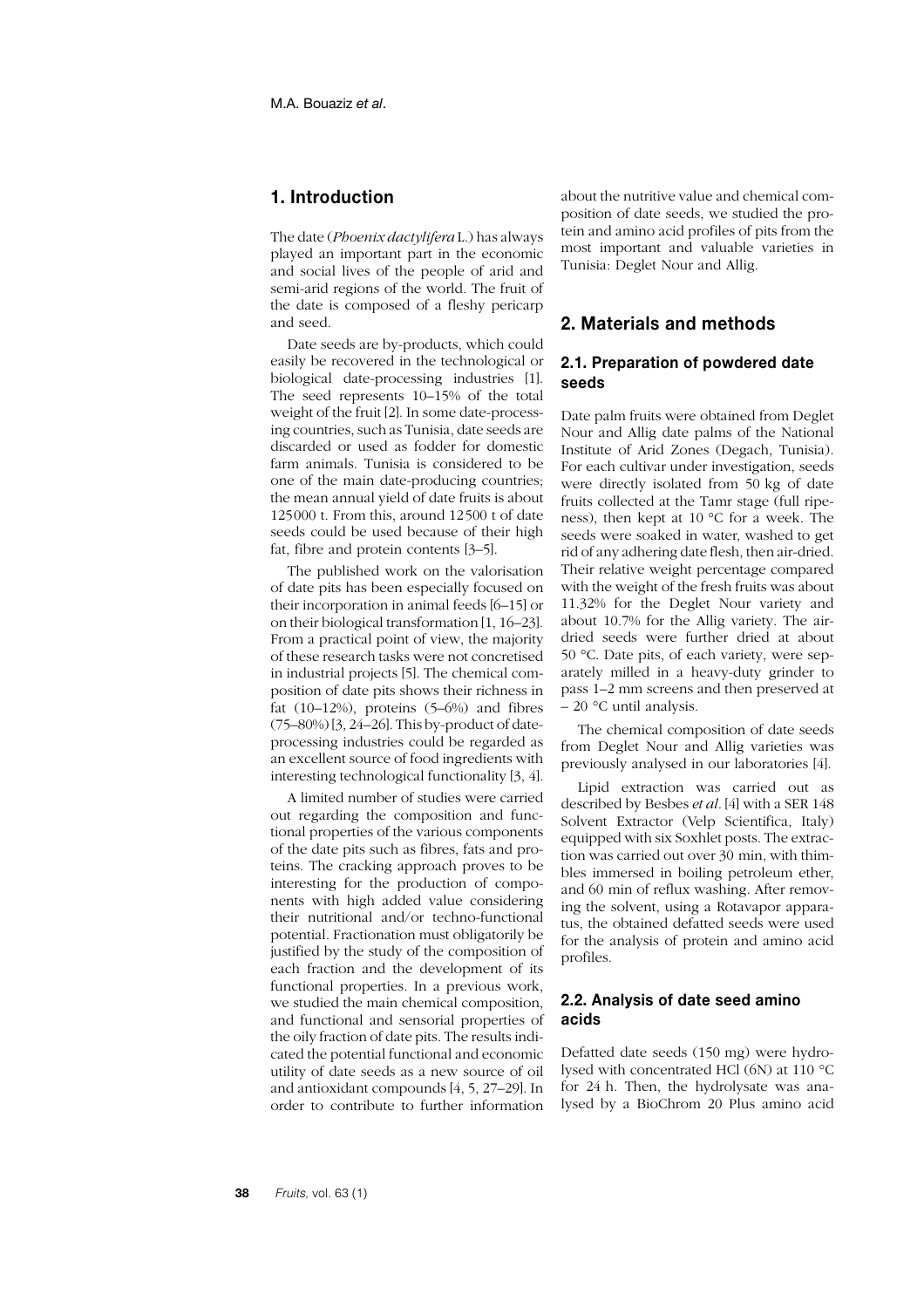# **1. Introduction**

The date (*Phoenix dactylifera* L.) has always played an important part in the economic and social lives of the people of arid and semi-arid regions of the world. The fruit of the date is composed of a fleshy pericarp and seed.

Date seeds are by-products, which could easily be recovered in the technological or biological date-processing industries [1]. The seed represents 10–15% of the total weight of the fruit [2]. In some date-processing countries, such as Tunisia, date seeds are discarded or used as fodder for domestic farm animals. Tunisia is considered to be one of the main date-producing countries; the mean annual yield of date fruits is about 125000 t. From this, around 12500 t of date seeds could be used because of their high fat, fibre and protein contents [3–5].

The published work on the valorisation of date pits has been especially focused on their incorporation in animal feeds [6–15] or on their biological transformation [1, 16–23]. From a practical point of view, the majority of these research tasks were not concretised in industrial projects [5]. The chemical composition of date pits shows their richness in fat (10–12%), proteins (5–6%) and fibres (75–80%) [3, 24–26]. This by-product of dateprocessing industries could be regarded as an excellent source of food ingredients with interesting technological functionality [3, 4].

A limited number of studies were carried out regarding the composition and functional properties of the various components of the date pits such as fibres, fats and proteins. The cracking approach proves to be interesting for the production of components with high added value considering their nutritional and/or techno-functional potential. Fractionation must obligatorily be justified by the study of the composition of each fraction and the development of its functional properties. In a previous work, we studied the main chemical composition, and functional and sensorial properties of the oily fraction of date pits. The results indicated the potential functional and economic utility of date seeds as a new source of oil and antioxidant compounds [4, 5, 27–29]. In order to contribute to further information about the nutritive value and chemical composition of date seeds, we studied the protein and amino acid profiles of pits from the most important and valuable varieties in Tunisia: Deglet Nour and Allig.

# **2. Materials and methods**

## **2.1. Preparation of powdered date seeds**

Date palm fruits were obtained from Deglet Nour and Allig date palms of the National Institute of Arid Zones (Degach, Tunisia). For each cultivar under investigation, seeds were directly isolated from 50 kg of date fruits collected at the Tamr stage (full ripeness), then kept at 10 °C for a week. The seeds were soaked in water, washed to get rid of any adhering date flesh, then air-dried. Their relative weight percentage compared with the weight of the fresh fruits was about 11.32% for the Deglet Nour variety and about 10.7% for the Allig variety. The airdried seeds were further dried at about 50 °C. Date pits, of each variety, were separately milled in a heavy-duty grinder to pass 1–2 mm screens and then preserved at – 20 °C until analysis.

The chemical composition of date seeds from Deglet Nour and Allig varieties was previously analysed in our laboratories [4].

Lipid extraction was carried out as described by Besbes *et al.* [4] with a SER 148 Solvent Extractor (Velp Scientifica, Italy) equipped with six Soxhlet posts. The extraction was carried out over 30 min, with thimbles immersed in boiling petroleum ether, and 60 min of reflux washing. After removing the solvent, using a Rotavapor apparatus, the obtained defatted seeds were used for the analysis of protein and amino acid profiles.

## **2.2. Analysis of date seed amino acids**

Defatted date seeds (150 mg) were hydrolysed with concentrated HCl (6N) at 110 °C for 24 h. Then, the hydrolysate was analysed by a BioChrom 20 Plus amino acid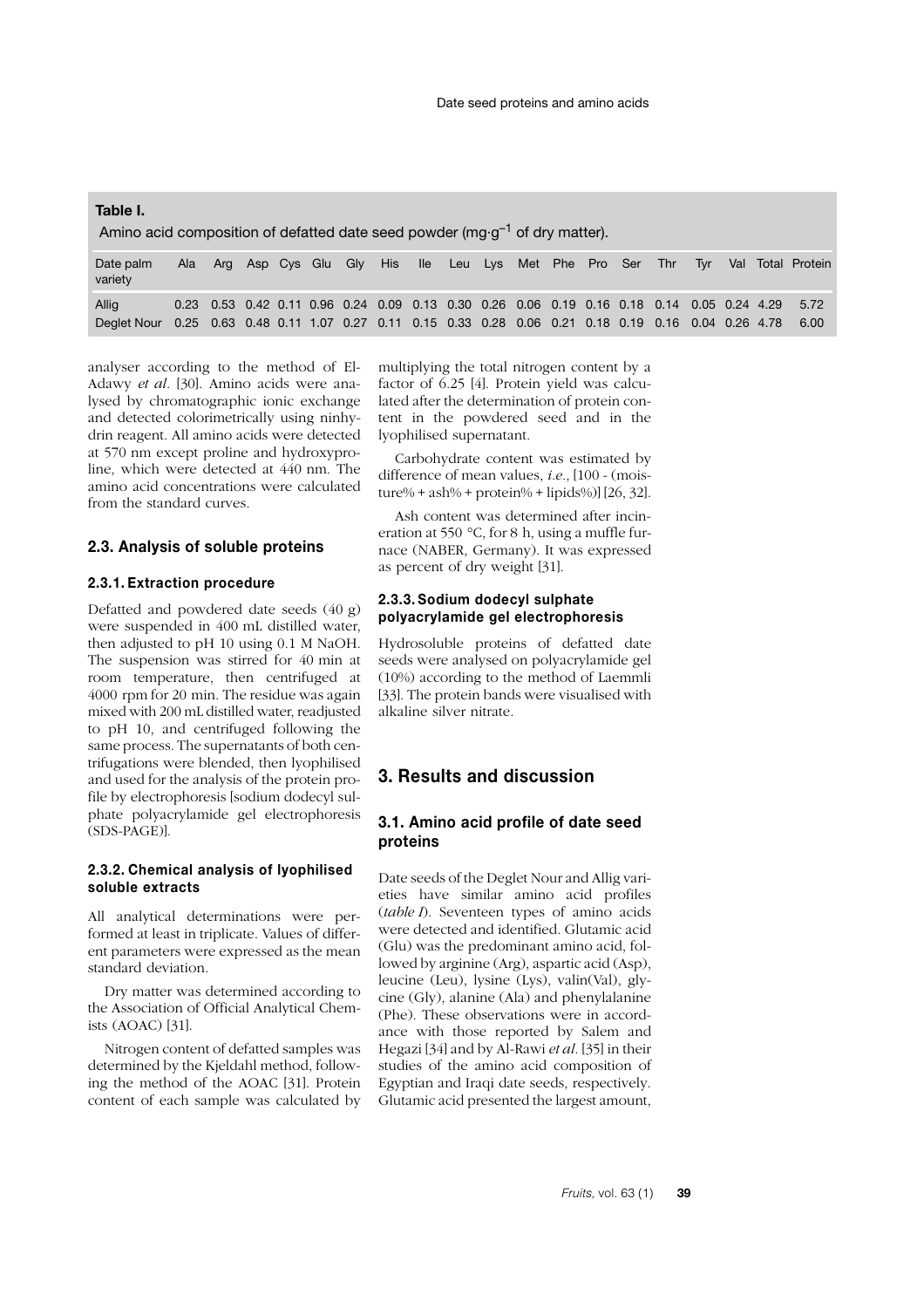**Table I.** Amino acid composition of defatted date seed powder (mg $\cdot$ g<sup>-1</sup> of dry matter). Date palm Ala Arg Asp Cys Glu Gly His Ile Leu Lys Met Phe Pro Ser Thr Tyr Val Total Protein

| variety                                                                                                    |  |  |  |  |  |  |  |  |  | المتحدد المتحال المستحدث المستحدث المستحدث المتحاصر المستحدث المستحدث المستحدث والمستحدث المستحدث |
|------------------------------------------------------------------------------------------------------------|--|--|--|--|--|--|--|--|--|---------------------------------------------------------------------------------------------------|
| Allia                                                                                                      |  |  |  |  |  |  |  |  |  | 0.23 0.53 0.42 0.11 0.96 0.24 0.09 0.13 0.30 0.26 0.06 0.19 0.16 0.18 0.14 0.05 0.24 4.29 5.72    |
| Deglet Nour 0.25 0.63 0.48 0.11 1.07 0.27 0.11 0.15 0.33 0.28 0.06 0.21 0.18 0.19 0.16 0.04 0.26 4.78 6.00 |  |  |  |  |  |  |  |  |  |                                                                                                   |

analyser according to the method of El-Adawy *et al.* [30]. Amino acids were analysed by chromatographic ionic exchange and detected colorimetrically using ninhydrin reagent. All amino acids were detected at 570 nm except proline and hydroxyproline, which were detected at 440 nm. The amino acid concentrations were calculated from the standard curves.

#### **2.3. Analysis of soluble proteins**

## **2.3.1. Extraction procedure**

Defatted and powdered date seeds (40 g) were suspended in 400 mL distilled water, then adjusted to pH 10 using 0.1 M NaOH. The suspension was stirred for 40 min at room temperature, then centrifuged at 4000 rpm for 20 min. The residue was again mixed with 200 mL distilled water, readjusted to pH 10, and centrifuged following the same process. The supernatants of both centrifugations were blended, then lyophilised and used for the analysis of the protein profile by electrophoresis [sodium dodecyl sulphate polyacrylamide gel electrophoresis (SDS-PAGE)].

## **2.3.2. Chemical analysis of lyophilised soluble extracts**

All analytical determinations were performed at least in triplicate. Values of different parameters were expressed as the mean standard deviation.

Dry matter was determined according to the Association of Official Analytical Chemists (AOAC) [31].

Nitrogen content of defatted samples was determined by the Kjeldahl method, following the method of the AOAC [31]. Protein content of each sample was calculated by multiplying the total nitrogen content by a factor of 6.25 [4]. Protein yield was calculated after the determination of protein content in the powdered seed and in the lyophilised supernatant.

Carbohydrate content was estimated by difference of mean values, *i.e.*, [100 - (mois $ture\% + ash\% + protein\% + lipids\%$ ] [26, 32].

Ash content was determined after incineration at 550 °C, for 8 h, using a muffle furnace (NABER, Germany). It was expressed as percent of dry weight [31].

## **2.3.3. Sodium dodecyl sulphate polyacrylamide gel electrophoresis**

Hydrosoluble proteins of defatted date seeds were analysed on polyacrylamide gel (10%) according to the method of Laemmli [33]. The protein bands were visualised with alkaline silver nitrate.

# **3. Results and discussion**

## **3.1. Amino acid profile of date seed proteins**

Date seeds of the Deglet Nour and Allig varieties have similar amino acid profiles (*table I*). Seventeen types of amino acids were detected and identified. Glutamic acid (Glu) was the predominant amino acid, followed by arginine (Arg), aspartic acid (Asp), leucine (Leu), lysine (Lys), valin(Val), glycine (Gly), alanine (Ala) and phenylalanine (Phe). These observations were in accordance with those reported by Salem and Hegazi [34] and by Al-Rawi *et al.* [35] in their studies of the amino acid composition of Egyptian and Iraqi date seeds, respectively. Glutamic acid presented the largest amount,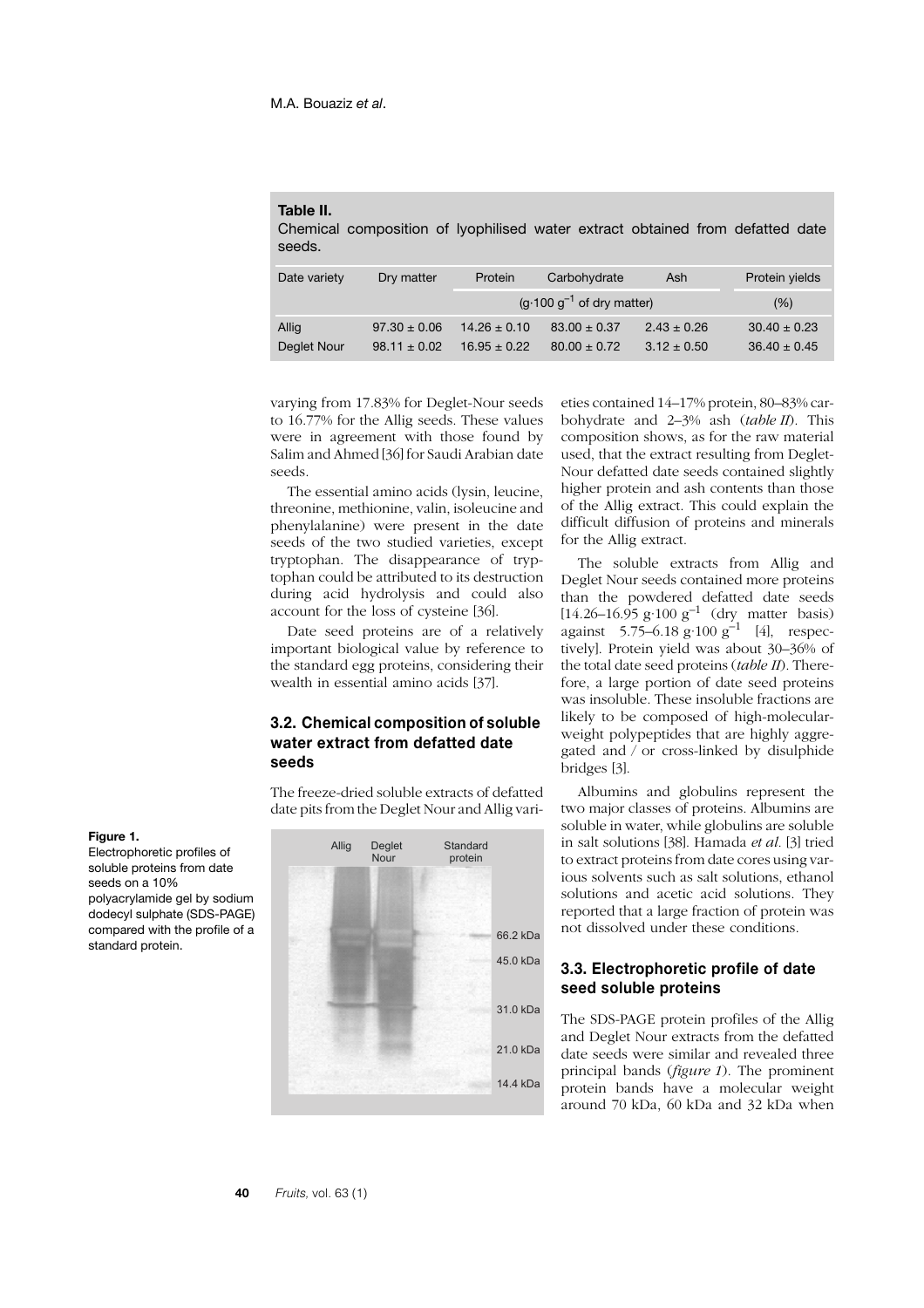#### **Table II.**

Chemical composition of lyophilised water extract obtained from defatted date seeds.

| Date variety | Dry matter       | Protein          | Carbohydrate                   | Ash             | Protein yields   |  |  |
|--------------|------------------|------------------|--------------------------------|-----------------|------------------|--|--|
|              |                  |                  | $(g.100 g^{-1}$ of dry matter) | (% )            |                  |  |  |
| Allig        | $97.30 \pm 0.06$ | $14.26 \pm 0.10$ | $83.00 \pm 0.37$               | $2.43 \pm 0.26$ | $30.40 \pm 0.23$ |  |  |
| Deglet Nour  | $98.11 + 0.02$   | $16.95 \pm 0.22$ | $80.00 \pm 0.72$               | $3.12 \pm 0.50$ | $36.40 \pm 0.45$ |  |  |

varying from 17.83% for Deglet-Nour seeds to 16.77% for the Allig seeds. These values were in agreement with those found by Salim and Ahmed [36] for Saudi Arabian date seeds.

The essential amino acids (lysin, leucine, threonine, methionine, valin, isoleucine and phenylalanine) were present in the date seeds of the two studied varieties, except tryptophan. The disappearance of tryptophan could be attributed to its destruction during acid hydrolysis and could also account for the loss of cysteine [36].

Date seed proteins are of a relatively important biological value by reference to the standard egg proteins, considering their wealth in essential amino acids [37].

## **3.2. Chemical composition of soluble water extract from defatted date seeds**

The freeze-dried soluble extracts of defatted date pits from the Deglet Nour and Allig vari-



eties contained 14–17% protein, 80–83% carbohydrate and 2–3% ash (*table II*). This composition shows, as for the raw material used, that the extract resulting from Deglet-Nour defatted date seeds contained slightly higher protein and ash contents than those of the Allig extract. This could explain the difficult diffusion of proteins and minerals for the Allig extract.

The soluble extracts from Allig and Deglet Nour seeds contained more proteins than the powdered defatted date seeds  $[14.26 - 16.95 \text{ g} \cdot 100 \text{ g}^{-1} \text{ (dry matter basis)}$ against  $5.75-6.18$  g·100 g<sup>-1</sup> [4], respectively]. Protein yield was about 30–36% of the total date seed proteins (*table II*). Therefore, a large portion of date seed proteins was insoluble. These insoluble fractions are likely to be composed of high-molecularweight polypeptides that are highly aggregated and / or cross-linked by disulphide bridges [3].

Albumins and globulins represent the two major classes of proteins. Albumins are soluble in water, while globulins are soluble in salt solutions [38]. Hamada *et al.* [3] tried to extract proteins from date cores using various solvents such as salt solutions, ethanol solutions and acetic acid solutions. They reported that a large fraction of protein was not dissolved under these conditions.

# **3.3. Electrophoretic profile of date seed soluble proteins**

The SDS-PAGE protein profiles of the Allig and Deglet Nour extracts from the defatted date seeds were similar and revealed three principal bands (*figure 1*). The prominent protein bands have a molecular weight around 70 kDa, 60 kDa and 32 kDa when

**Figure 1.** Electrophoretic profiles of soluble proteins from date seeds on a 10% polyacrylamide gel by sodium dodecyl sulphate (SDS-PAGE)

standard protein.

compared with the profile of a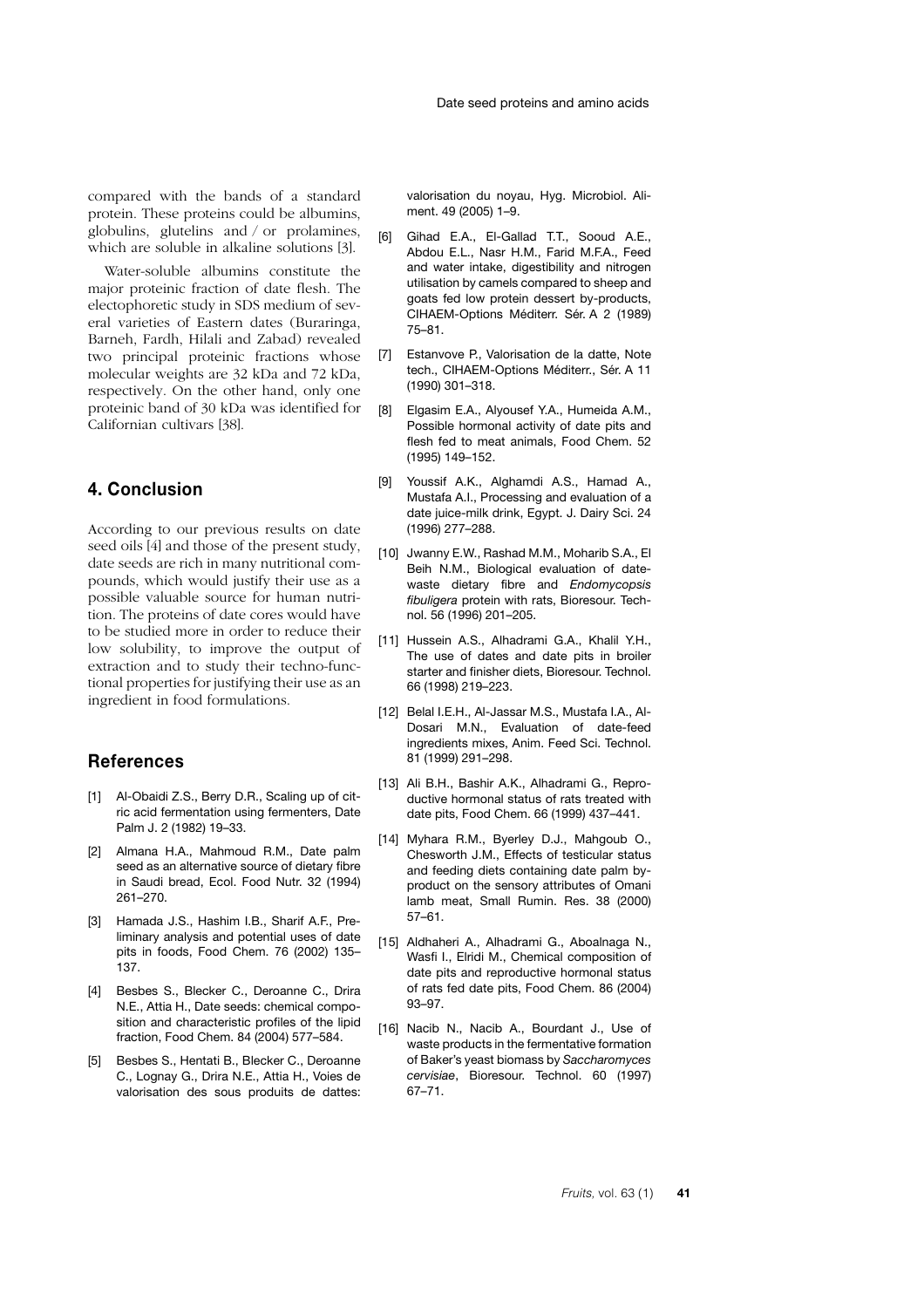compared with the bands of a standard protein. These proteins could be albumins, globulins, glutelins and / or prolamines, which are soluble in alkaline solutions [3].

Water-soluble albumins constitute the major proteinic fraction of date flesh. The electophoretic study in SDS medium of several varieties of Eastern dates (Buraringa, Barneh, Fardh, Hilali and Zabad) revealed two principal proteinic fractions whose molecular weights are 32 kDa and 72 kDa, respectively. On the other hand, only one proteinic band of 30 kDa was identified for Californian cultivars [38].

# **4. Conclusion**

According to our previous results on date seed oils [4] and those of the present study, date seeds are rich in many nutritional compounds, which would justify their use as a possible valuable source for human nutrition. The proteins of date cores would have to be studied more in order to reduce their low solubility, to improve the output of extraction and to study their techno-functional properties for justifying their use as an ingredient in food formulations.

# **References**

- [1] Al-Obaidi Z.S., Berry D.R., Scaling up of citric acid fermentation using fermenters, Date Palm J. 2 (1982) 19–33.
- [2] Almana H.A., Mahmoud R.M., Date palm seed as an alternative source of dietary fibre in Saudi bread, Ecol. Food Nutr. 32 (1994) 261–270.
- [3] Hamada J.S., Hashim I.B., Sharif A.F., Preliminary analysis and potential uses of date pits in foods, Food Chem. 76 (2002) 135– 137.
- [4] Besbes S., Blecker C., Deroanne C., Drira N.E., Attia H., Date seeds: chemical composition and characteristic profiles of the lipid fraction, Food Chem. 84 (2004) 577–584.
- [5] Besbes S., Hentati B., Blecker C., Deroanne C., Lognay G., Drira N.E., Attia H., Voies de valorisation des sous produits de dattes:

valorisation du noyau, Hyg. Microbiol. Aliment. 49 (2005) 1–9.

- [6] Gihad E.A., El-Gallad T.T., Sooud A.E., Abdou E.L., Nasr H.M., Farid M.F.A., Feed and water intake, digestibility and nitrogen utilisation by camels compared to sheep and goats fed low protein dessert by-products, CIHAEM-Options Méditerr. Sér. A 2 (1989) 75–81.
- [7] Estanvove P., Valorisation de la datte, Note tech., CIHAEM-Options Méditerr., Sér. A 11 (1990) 301–318.
- [8] Elgasim E.A., Alyousef Y.A., Humeida A.M., Possible hormonal activity of date pits and flesh fed to meat animals, Food Chem. 52 (1995) 149–152.
- [9] Youssif A.K., Alghamdi A.S., Hamad A., Mustafa A.I., Processing and evaluation of a date juice-milk drink, Egypt. J. Dairy Sci. 24 (1996) 277–288.
- [10] Jwanny E.W., Rashad M.M., Moharib S.A., El Beih N.M., Biological evaluation of datewaste dietary fibre and *Endomycopsis fibuligera* protein with rats, Bioresour. Technol. 56 (1996) 201–205.
- [11] Hussein A.S., Alhadrami G.A., Khalil Y.H., The use of dates and date pits in broiler starter and finisher diets, Bioresour. Technol. 66 (1998) 219–223.
- [12] Belal I.E.H., Al-Jassar M.S., Mustafa I.A., Al-Dosari M.N., Evaluation of date-feed ingredients mixes, Anim. Feed Sci. Technol. 81 (1999) 291–298.
- [13] Ali B.H., Bashir A.K., Alhadrami G., Reproductive hormonal status of rats treated with date pits, Food Chem. 66 (1999) 437–441.
- [14] Myhara R.M., Byerley D.J., Mahgoub O., Chesworth J.M., Effects of testicular status and feeding diets containing date palm byproduct on the sensory attributes of Omani lamb meat, Small Rumin. Res. 38 (2000) 57–61.
- [15] Aldhaheri A., Alhadrami G., Aboalnaga N., Wasfi I., Elridi M., Chemical composition of date pits and reproductive hormonal status of rats fed date pits, Food Chem. 86 (2004) 93–97.
- [16] Nacib N., Nacib A., Bourdant J., Use of waste products in the fermentative formation of Baker's yeast biomass by *Saccharomyces cervisiae*, Bioresour. Technol. 60 (1997) 67–71.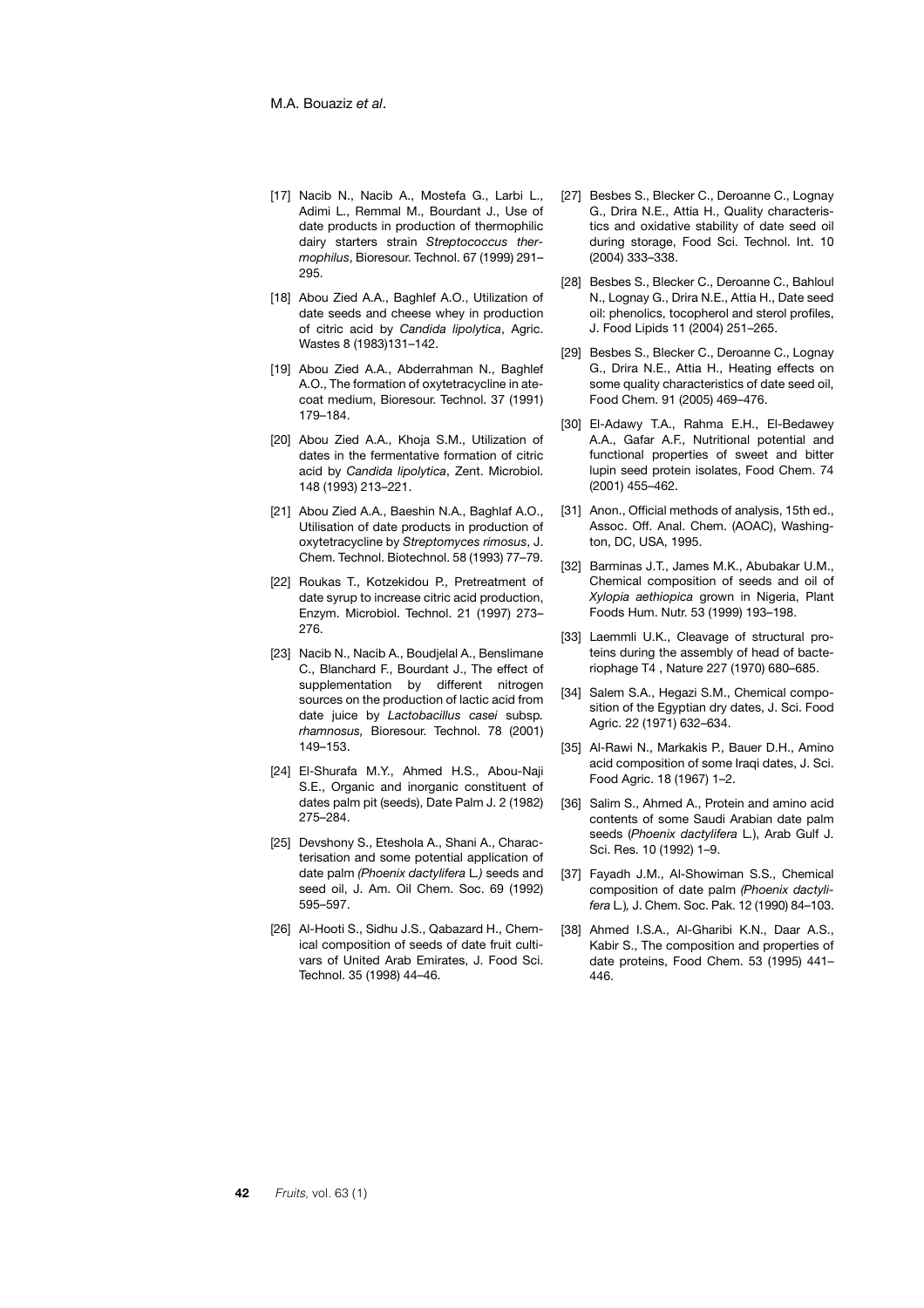- [17] Nacib N., Nacib A., Mostefa G., Larbi L., Adimi L., Remmal M., Bourdant J., Use of date products in production of thermophilic dairy starters strain *Streptococcus thermophilus*, Bioresour. Technol. 67 (1999) 291– 295.
- [18] Abou Zied A.A., Baghlef A.O., Utilization of date seeds and cheese whey in production of citric acid by *Candida lipolytica*, Agric. Wastes 8 (1983)131–142.
- [19] Abou Zied A.A., Abderrahman N., Baghlef A.O., The formation of oxytetracycline in atecoat medium, Bioresour. Technol. 37 (1991) 179–184.
- [20] Abou Zied A.A., Khoja S.M., Utilization of dates in the fermentative formation of citric acid by *Candida lipolytica*, Zent. Microbiol. 148 (1993) 213–221.
- [21] Abou Zied A.A., Baeshin N.A., Baghlaf A.O., Utilisation of date products in production of oxytetracycline by *Streptomyces rimosus*, J. Chem. Technol. Biotechnol. 58 (1993) 77–79.
- [22] Roukas T., Kotzekidou P., Pretreatment of date syrup to increase citric acid production, Enzym. Microbiol. Technol. 21 (1997) 273– 276.
- [23] Nacib N., Nacib A., Boudjelal A., Benslimane C., Blanchard F., Bourdant J., The effect of supplementation by different nitrogen sources on the production of lactic acid from date juice by *Lactobacillus casei* subsp*. rhamnosus,* Bioresour. Technol. 78 (2001) 149–153.
- [24] El-Shurafa M.Y., Ahmed H.S., Abou-Naji S.E., Organic and inorganic constituent of dates palm pit (seeds), Date Palm J. 2 (1982) 275–284.
- [25] Devshony S., Eteshola A., Shani A., Characterisation and some potential application of date palm *(Phoenix dactylifera* L*.)* seeds and seed oil, J. Am. Oil Chem. Soc. 69 (1992) 595–597.
- [26] Al-Hooti S., Sidhu J.S., Qabazard H., Chemical composition of seeds of date fruit cultivars of United Arab Emirates, J. Food Sci. Technol. 35 (1998) 44–46.
- [27] Besbes S., Blecker C., Deroanne C., Lognay G., Drira N.E., Attia H., Quality characteristics and oxidative stability of date seed oil during storage, Food Sci. Technol. Int. 10 (2004) 333–338.
- [28] Besbes S., Blecker C., Deroanne C., Bahloul N., Lognay G., Drira N.E., Attia H., Date seed oil: phenolics, tocopherol and sterol profiles, J. Food Lipids 11 (2004) 251–265.
- [29] Besbes S., Blecker C., Deroanne C., Lognay G., Drira N.E., Attia H., Heating effects on some quality characteristics of date seed oil, Food Chem. 91 (2005) 469–476.
- [30] El-Adawy T.A., Rahma E.H., El-Bedawey A.A., Gafar A.F., Nutritional potential and functional properties of sweet and bitter lupin seed protein isolates, Food Chem. 74 (2001) 455–462.
- [31] Anon., Official methods of analysis, 15th ed., Assoc. Off. Anal. Chem. (AOAC), Washington, DC, USA, 1995.
- [32] Barminas J.T., James M.K., Abubakar U.M., Chemical composition of seeds and oil of *Xylopia aethiopica* grown in Nigeria, Plant Foods Hum. Nutr. 53 (1999) 193–198.
- [33] Laemmli U.K., Cleavage of structural proteins during the assembly of head of bacteriophage T4 , Nature 227 (1970) 680–685.
- [34] Salem S.A., Hegazi S.M., Chemical composition of the Egyptian dry dates, J. Sci. Food Agric. 22 (1971) 632–634.
- [35] Al-Rawi N., Markakis P., Bauer D.H., Amino acid composition of some Iraqi dates, J. Sci. Food Agric. 18 (1967) 1–2.
- [36] Salim S., Ahmed A., Protein and amino acid contents of some Saudi Arabian date palm seeds (*Phoenix dactylifera* L*.*), Arab Gulf J. Sci. Res. 10 (1992) 1–9.
- [37] Fayadh J.M., Al-Showiman S.S., Chemical composition of date palm *(Phoenix dactylifera* L*.*)*,* J. Chem. Soc. Pak. 12 (1990) 84–103.
- [38] Ahmed I.S.A., Al-Gharibi K.N., Daar A.S., Kabir S., The composition and properties of date proteins, Food Chem. 53 (1995) 441– 446.